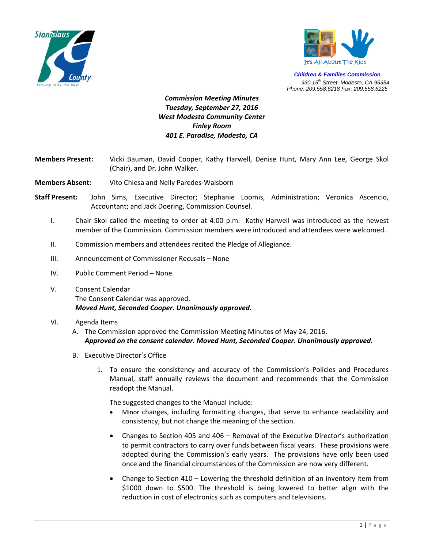



*Children & Families Commission 930 15th Street, Modesto, CA 95354 Phone: 209.558.6218 Fax: 209.558.6225*

## *Commission Meeting Minutes Tuesday, September 27, 2016 West Modesto Community Center Finley Room 401 E. Paradise, Modesto, CA*

- **Members Present:** Vicki Bauman, David Cooper, Kathy Harwell, Denise Hunt, Mary Ann Lee, George Skol (Chair), and Dr. John Walker.
- **Members Absent:** Vito Chiesa and Nelly Paredes‐Walsborn
- **Staff Present:** John Sims, Executive Director; Stephanie Loomis, Administration; Veronica Ascencio, Accountant; and Jack Doering, Commission Counsel.
	- I. Chair Skol called the meeting to order at 4:00 p.m. Kathy Harwell was introduced as the newest member of the Commission. Commission members were introduced and attendees were welcomed.
	- II. Commission members and attendees recited the Pledge of Allegiance.
	- III. Announcement of Commissioner Recusals None
	- IV. Public Comment Period None.
	- V. Consent Calendar The Consent Calendar was approved. *Moved Hunt, Seconded Cooper. Unanimously approved.*
	- VI. Agenda Items
		- A. The Commission approved the Commission Meeting Minutes of May 24, 2016. *Approved on the consent calendar. Moved Hunt, Seconded Cooper. Unanimously approved.*
		- B. Executive Director's Office
			- 1. To ensure the consistency and accuracy of the Commission's Policies and Procedures Manual, staff annually reviews the document and recommends that the Commission readopt the Manual.

The suggested changes to the Manual include:

- Minor changes, including formatting changes, that serve to enhance readability and consistency, but not change the meaning of the section.
- Changes to Section 405 and 406 Removal of the Executive Director's authorization to permit contractors to carry over funds between fiscal years. These provisions were adopted during the Commission's early years. The provisions have only been used once and the financial circumstances of the Commission are now very different.
- Change to Section 410 Lowering the threshold definition of an inventory item from \$1000 down to \$500. The threshold is being lowered to better align with the reduction in cost of electronics such as computers and televisions.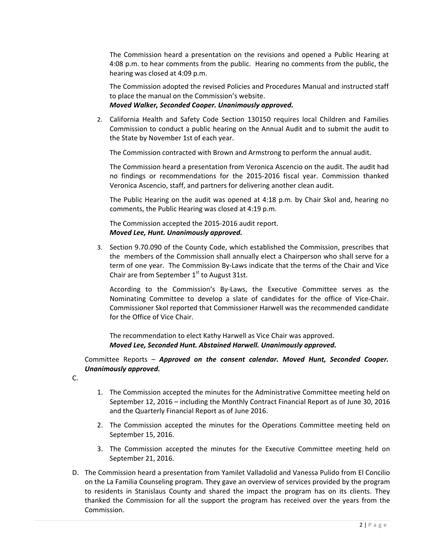The Commission heard a presentation on the revisions and opened a Public Hearing at 4:08 p.m. to hear comments from the public. Hearing no comments from the public, the hearing was closed at 4:09 p.m.

The Commission adopted the revised Policies and Procedures Manual and instructed staff to place the manual on the Commission's website.

## *Moved Walker, Seconded Cooper. Unanimously approved.*

2. California Health and Safety Code Section 130150 requires local Children and Families Commission to conduct a public hearing on the Annual Audit and to submit the audit to the State by November 1st of each year.

The Commission contracted with Brown and Armstrong to perform the annual audit.

The Commission heard a presentation from Veronica Ascencio on the audit. The audit had no findings or recommendations for the 2015‐2016 fiscal year. Commission thanked Veronica Ascencio, staff, and partners for delivering another clean audit.

The Public Hearing on the audit was opened at 4:18 p.m. by Chair Skol and, hearing no comments, the Public Hearing was closed at 4:19 p.m.

The Commission accepted the 2015‐2016 audit report. *Moved Lee, Hunt. Unanimously approved.*

3. Section 9.70.090 of the County Code, which established the Commission, prescribes that the members of the Commission shall annually elect a Chairperson who shall serve for a term of one year. The Commission By‐Laws indicate that the terms of the Chair and Vice Chair are from September  $1<sup>st</sup>$  to August 31st.

According to the Commission's By‐Laws, the Executive Committee serves as the Nominating Committee to develop a slate of candidates for the office of Vice‐Chair. Commissioner Skol reported that Commissioner Harwell was the recommended candidate for the Office of Vice Chair.

The recommendation to elect Kathy Harwell as Vice Chair was approved. *Moved Lee, Seconded Hunt. Abstained Harwell. Unanimously approved.*

Committee Reports – *Approved on the consent calendar. Moved Hunt, Seconded Cooper. Unanimously approved.*

C.

- 1. The Commission accepted the minutes for the Administrative Committee meeting held on September 12, 2016 – including the Monthly Contract Financial Report as of June 30, 2016 and the Quarterly Financial Report as of June 2016.
- 2. The Commission accepted the minutes for the Operations Committee meeting held on September 15, 2016.
- 3. The Commission accepted the minutes for the Executive Committee meeting held on September 21, 2016.
- D. The Commission heard a presentation from Yamilet Valladolid and Vanessa Pulido from El Concilio on the La Familia Counseling program. They gave an overview of services provided by the program to residents in Stanislaus County and shared the impact the program has on its clients. They thanked the Commission for all the support the program has received over the years from the Commission.